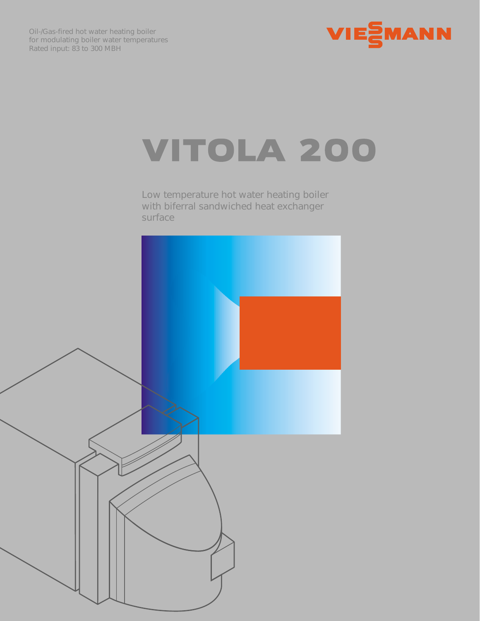



## VITOLA 200

*Low temperature hot water heating boiler with biferral sandwiched heat exchanger surface*